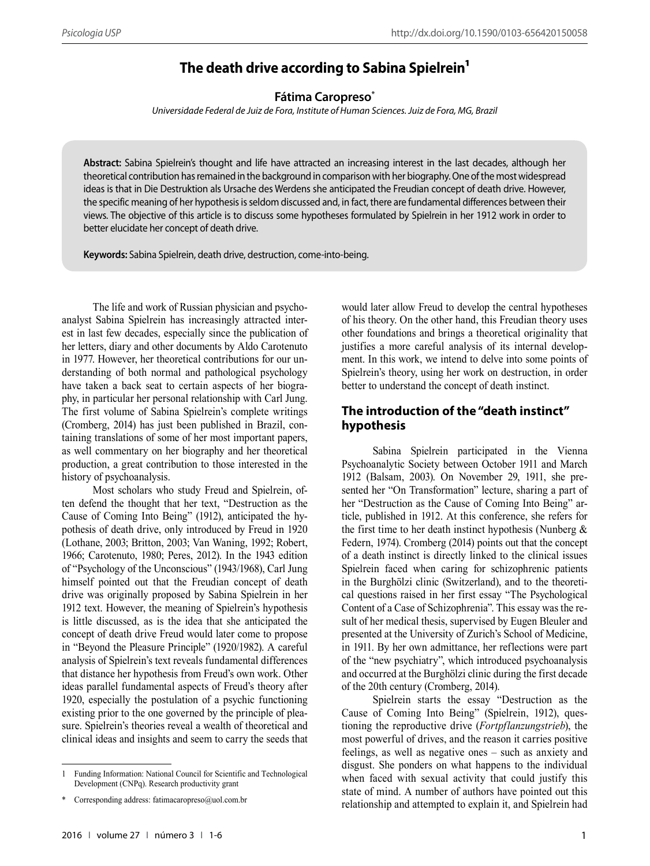# The death drive according to Sabina Spielrein<sup>1</sup>

**Fátima Caropreso\***

*Universidade Federal de Juiz de Fora, Institute of Human Sciences. Juiz de Fora, MG, Brazil*

**Abstract:** Sabina Spielrein's thought and life have attracted an increasing interest in the last decades, although her theoretical contribution has remained in the background in comparison with her biography. One of the most widespread ideas is that in Die Destruktion als Ursache des Werdens she anticipated the Freudian concept of death drive. However, the specific meaning of her hypothesis is seldom discussed and, in fact, there are fundamental differences between their views. The objective of this article is to discuss some hypotheses formulated by Spielrein in her 1912 work in order to better elucidate her concept of death drive.

**Keywords:** Sabina Spielrein, death drive, destruction, come-into-being.

The life and work of Russian physician and psycho analyst Sabina Spielrein has increasingly attracted inter est in last few decades, especially since the publication of her letters, diary and other documents by Aldo Carotenuto in 1977. However, her theoretical contributions for our un derstanding of both normal and pathological psychology have taken a back seat to certain aspects of her biogra phy, in particular her personal relationship with Carl Jung. The first volume of Sabina Spielrein's complete writings (Cromberg, 2014) has just been published in Brazil, con taining translations of some of her most important papers, as well commentary on her biography and her theoretical production, a great contribution to those interested in the history of psychoanalysis.

Most scholars who study Freud and Spielrein, of ten defend the thought that her text, "Destruction as the Cause of Coming Into Being" (1912), anticipated the hy pothesis of death drive, only introduced by Freud in 1920 (Lothane, 2003; Britton, 2003; Van Waning, 1992; Robert, 1966; Carotenuto, 1980; Peres, 2012). In the 1943 edition of "Psychology of the Unconscious" (1943/1968), Carl Jung himself pointed out that the Freudian concept of death drive was originally proposed by Sabina Spielrein in her 1912 text. However, the meaning of Spielrein's hypothesis is little discussed, as is the idea that she anticipated the concept of death drive Freud would later come to propose in "Beyond the Pleasure Principle" (1920/1982). A careful analysis of Spielrein's text reveals fundamental differences that distance her hypothesis from Freud's own work. Other ideas parallel fundamental aspects of Freud's theory after 1920, especially the postulation of a psychic functioning existing prior to the one governed by the principle of plea sure. Spielrein's theories reveal a wealth of theoretical and clinical ideas and insights and seem to carry the seeds that

would later allow Freud to develop the central hypotheses of his theory. On the other hand, this Freudian theory uses other foundations and brings a theoretical originality that justifies a more careful analysis of its internal develop ment. In this work, we intend to delve into some points of Spielrein's theory, using her work on destruction, in order better to understand the concept of death instinct.

## **The introduction of the "death instinct" hypothesis**

Sabina Spielrein participated in the Vienna Psychoanalytic Society between October 1911 and March 1912 (Balsam, 2003). On November 29, 1911, she pre sented her "On Transformation" lecture, sharing a part of her "Destruction as the Cause of Coming Into Being" ar ticle, published in 1912. At this conference, she refers for the first time to her death instinct hypothesis (Nunberg  $\&$ Federn, 1974). Cromberg (2014) points out that the concept of a death instinct is directly linked to the clinical issues Spielrein faced when caring for schizophrenic patients in the Burghölzi clinic (Switzerland), and to the theoreti cal questions raised in her first essay "The Psychological Content of a Case of Schizophrenia". This essay was the re sult of her medical thesis, supervised by Eugen Bleuler and presented at the University of Zurich's School of Medicine, in 1911. By her own admittance, her reflections were part of the "new psychiatry", which introduced psychoanalysis and occurred at the Burghölzi clinic during the first decade of the 20th century (Cromberg, 2014).

Spielrein starts the essay "Destruction as the Cause of Coming Into Being" (Spielrein, 1912), ques tioning the reproductive drive (*Fortpflanzungstrieb*), the most powerful of drives, and the reason it carries positive feelings, as well as negative ones – such as anxiety and disgust. She ponders on what happens to the individual when faced with sexual activity that could justify this state of mind. A number of authors have pointed out this relationship and attempted to explain it, and Spielrein had

<sup>1</sup> Funding Information: National Council for Scientific and Technological Development (CNPq). Research productivity grant

Corresponding address: fatimacaropreso@uol.com.br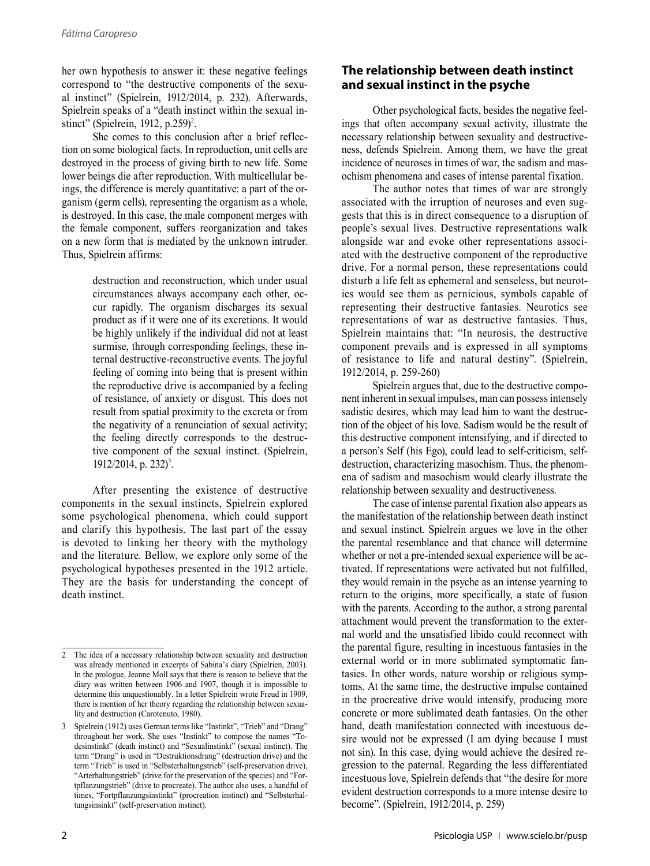her own hypothesis to answer it: these negative feelings correspond to "the destructive components of the sexu al instinct" (Spielrein, 1912/2014, p. 232). Afterwards, Spielrein speaks of a "death instinct within the sexual instinct" (Spielrein, 1912, p.259)<sup>2</sup>.

She comes to this conclusion after a brief reflec tion on some biological facts. In reproduction, unit cells are destroyed in the process of giving birth to new life. Some lower beings die after reproduction. With multicellular be ings, the difference is merely quantitative: a part of the or ganism (germ cells), representing the organism as a whole, is destroyed. In this case, the male component merges with the female component, suffers reorganization and takes on a new form that is mediated by the unknown intruder. Thus, Spielrein affirms:

> destruction and reconstruction, which under usual circumstances always accompany each other, oc cur rapidly. The organism discharges its sexual product as if it were one of its excretions. It would be highly unlikely if the individual did not at least surmise, through corresponding feelings, these in ternal destructive-reconstructive events. The joyful feeling of coming into being that is present within the reproductive drive is accompanied by a feeling of resistance, of anxiety or disgust. This does not result from spatial proximity to the excreta or from the negativity of a renunciation of sexual activity; the feeling directly corresponds to the destruc tive component of the sexual instinct. (Spielrein, 1912/2014, p. 232)<sup>3</sup>.

After presenting the existence of destructive components in the sexual instincts, Spielrein explored some psychological phenomena, which could support and clarify this hypothesis. The last part of the essay is devoted to linking her theory with the mythology and the literature. Bellow, we explore only some of the psychological hypotheses presented in the 1912 article. They are the basis for understanding the concept of death instinct.

## **The relationship between death instinct and sexual instinct in the psyche**

Other psychological facts, besides the negative feel ings that often accompany sexual activity, illustrate the necessary relationship between sexuality and destructive ness, defends Spielrein. Among them, we have the great incidence of neuroses in times of war, the sadism and mas ochism phenomena and cases of intense parental fixation.

The author notes that times of war are strongly associated with the irruption of neuroses and even sug gests that this is in direct consequence to a disruption of people's sexual lives. Destructive representations walk alongside war and evoke other representations associ ated with the destructive component of the reproductive drive. For a normal person, these representations could disturb a life felt as ephemeral and senseless, but neurot ics would see them as pernicious, symbols capable of representing their destructive fantasies. Neurotics see representations of war as destructive fantasies. Thus, Spielrein maintains that: "In neurosis, the destructive component prevails and is expressed in all symptoms of resistance to life and natural destiny". (Spielrein, 1912/2014, p. 259-260)

Spielrein argues that, due to the destructive compo nent inherent in sexual impulses, man can possess intensely sadistic desires, which may lead him to want the destruc tion of the object of his love. Sadism would be the result of this destructive component intensifying, and if directed to a person's Self (his Ego), could lead to self-criticism, selfdestruction, characterizing masochism. Thus, the phenom ena of sadism and masochism would clearly illustrate the relationship between sexuality and destructiveness.

The case of intense parental fixation also appears as the manifestation of the relationship between death instinct and sexual instinct. Spielrein argues we love in the other the parental resemblance and that chance will determine whether or not a pre-intended sexual experience will be ac tivated. If representations were activated but not fulfilled, they would remain in the psyche as an intense yearning to return to the origins, more specifically, a state of fusion with the parents. According to the author, a strong parental attachment would prevent the transformation to the exter nal world and the unsatisfied libido could reconnect with the parental figure, resulting in incestuous fantasies in the external world or in more sublimated symptomatic fan tasies. In other words, nature worship or religious symp toms. At the same time, the destructive impulse contained in the procreative drive would intensify, producing more concrete or more sublimated death fantasies. On the other hand, death manifestation connected with incestuous de sire would not be expressed (I am dying because I must not sin). In this case, dying would achieve the desired re gression to the paternal. Regarding the less differentiated incestuous love, Spielrein defends that "the desire for more evident destruction corresponds to a more intense desire to become". (Spielrein, 1912/2014, p. 259)

<sup>2</sup> The idea of a necessary relationship between sexuality and destruction was already mentioned in excerpts of Sabina's diary (Spielrien, 2003). In the prologue, Jeanne Moll says that there is reason to believe that the diary was written between 1906 and 1907, though it is impossible to determine this unquestionably. In a letter Spielrein wrote Freud in 1909, there is mention of her theory regarding the relationship between sexua- lity and destruction (Carotenuto, 1980).

Spielrein (1912) uses German terms like "Instinkt", "Trieb" and "Drang" throughout her work. She uses "Instinkt" to compose the names "Todesinstinkt" (death instinct) and "Sexualinstinkt" (sexual instinct). The term "Drang" is used in "Destruktionsdrang" (destruction drive) and the term "Trieb" is used in "Selbsterhaltungstrieb" (self-preservation drive), "Arterhaltungstrieb" (drive for the preservation of the species) and "Fortpflanzungstrieb" (drive to procreate). The author also uses, a handful of times, "Fortpflanzungsinstinkt" (procreation instinct) and "Selbsterhal- tungsinsinkt" (self-preservation instinct).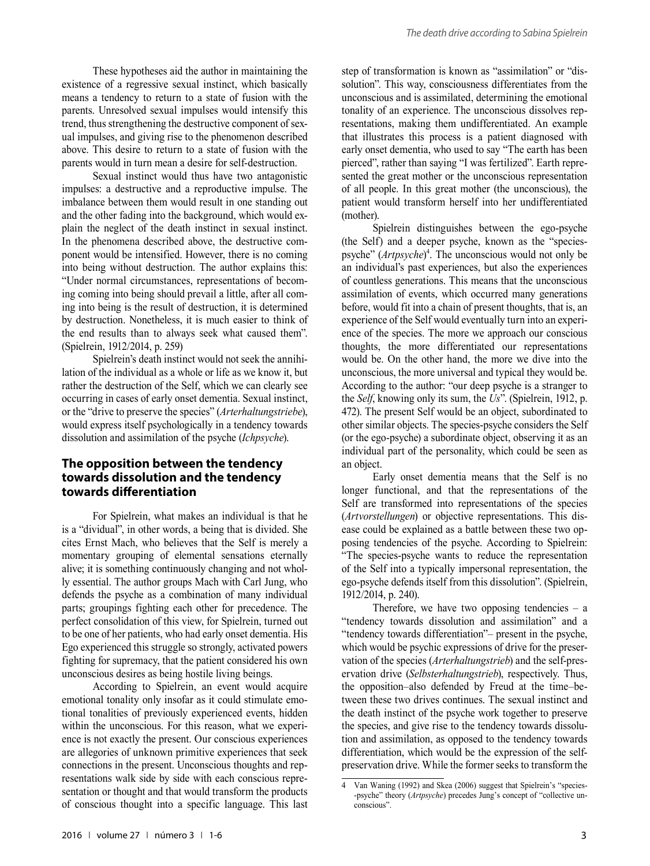These hypotheses aid the author in maintaining the existence of a regressive sexual instinct, which basically means a tendency to return to a state of fusion with the parents. Unresolved sexual impulses would intensify this trend, thus strengthening the destructive component of sex ual impulses, and giving rise to the phenomenon described above. This desire to return to a state of fusion with the parents would in turn mean a desire for self-destruction.

Sexual instinct would thus have two antagonistic impulses: a destructive and a reproductive impulse. The imbalance between them would result in one standing out and the other fading into the background, which would ex plain the neglect of the death instinct in sexual instinct. In the phenomena described above, the destructive com ponent would be intensified. However, there is no coming into being without destruction. The author explains this: "Under normal circumstances, representations of becom ing coming into being should prevail a little, after all com ing into being is the result of destruction, it is determined by destruction. Nonetheless, it is much easier to think of the end results than to always seek what caused them". (Spielrein, 1912/2014, p. 259)

Spielrein's death instinct would not seek the annihi lation of the individual as a whole or life as we know it, but rather the destruction of the Self, which we can clearly see occurring in cases of early onset dementia. Sexual instinct, or the "drive to preserve the species" (*Arterhaltungstriebe*), would express itself psychologically in a tendency towards dissolution and assimilation of the psyche (*Ichpsyche*).

### **The opposition between the tendency towards dissolution and the tendency towards differentiation**

For Spielrein, what makes an individual is that he is a "dividual", in other words, a being that is divided. She cites Ernst Mach, who believes that the Self is merely a momentary grouping of elemental sensations eternally alive; it is something continuously changing and not whol ly essential. The author groups Mach with Carl Jung, who defends the psyche as a combination of many individual parts; groupings fighting each other for precedence. The perfect consolidation of this view, for Spielrein, turned out to be one of her patients, who had early onset dementia. His Ego experienced this struggle so strongly, activated powers fighting for supremacy, that the patient considered his own unconscious desires as being hostile living beings.

According to Spielrein, an event would acquire emotional tonality only insofar as it could stimulate emo tional tonalities of previously experienced events, hidden within the unconscious. For this reason, what we experience is not exactly the present. Our conscious experiences are allegories of unknown primitive experiences that seek connections in the present. Unconscious thoughts and rep resentations walk side by side with each conscious repre sentation or thought and that would transform the products of conscious thought into a specific language. This last

step of transformation is known as "assimilation" or "dis solution". This way, consciousness differentiates from the unconscious and is assimilated, determining the emotional tonality of an experience. The unconscious dissolves rep resentations, making them undifferentiated. An example that illustrates this process is a patient diagnosed with early onset dementia, who used to say "The earth has been pierced", rather than saying "I was fertilized". Earth repre sented the great mother or the unconscious representation of all people. In this great mother (the unconscious), the patient would transform herself into her undifferentiated (mother).

Spielrein distinguishes between the ego-psyche (the Self) and a deeper psyche, known as the "speciespsyche" (*Artpsyche*) 4 . The unconscious would not only be an individual's past experiences, but also the experiences of countless generations. This means that the unconscious assimilation of events, which occurred many generations before, would fit into a chain of present thoughts, that is, an experience of the Self would eventually turn into an experi ence of the species. The more we approach our conscious thoughts, the more differentiated our representations would be. On the other hand, the more we dive into the unconscious, the more universal and typical they would be. According to the author: "our deep psyche is a stranger to the *Self*, knowing only its sum, the *Us*". (Spielrein, 1912, p. 472). The present Self would be an object, subordinated to other similar objects. The species-psyche considers the Self (or the ego-psyche) a subordinate object, observing it as an individual part of the personality, which could be seen as an object.

Early onset dementia means that the Self is no longer functional, and that the representations of the Self are transformed into representations of the species (*Artvorstellungen*) or objective representations. This dis ease could be explained as a battle between these two op posing tendencies of the psyche. According to Spielrein: "The species-psyche wants to reduce the representation of the Self into a typically impersonal representation, the ego-psyche defends itself from this dissolution". (Spielrein, 1912/2014, p. 240).

Therefore, we have two opposing tendencies  $-$  a "tendency towards dissolution and assimilation" and a "tendency towards differentiation"– present in the psyche, which would be psychic expressions of drive for the preser vation of the species (*Arterhaltungstrieb*) and the self-pres ervation drive (*Selbsterhaltungstrieb*), respectively. Thus, the opposition–also defended by Freud at the time–be tween these two drives continues. The sexual instinct and the death instinct of the psyche work together to preserve the species, and give rise to the tendency towards dissolu tion and assimilation, as opposed to the tendency towards differentiation, which would be the expression of the selfpreservation drive. While the former seeks to transform the

<sup>4</sup> Van Waning (1992) and Skea (2006) suggest that Spielrein's "species- -psyche" theory (*Artpsyche*) precedes Jung's concept of "collective un- conscious".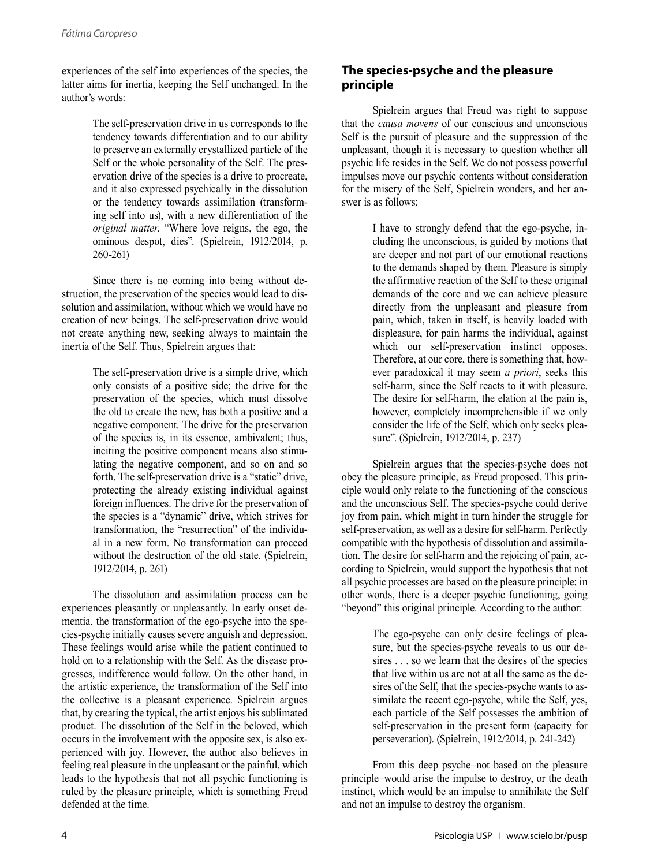experiences of the self into experiences of the species, the latter aims for inertia, keeping the Self unchanged. In the author's words:

> The self-preservation drive in us corresponds to the tendency towards differentiation and to our ability to preserve an externally crystallized particle of the Self or the whole personality of the Self. The pres ervation drive of the species is a drive to procreate, and it also expressed psychically in the dissolution or the tendency towards assimilation (transform ing self into us), with a new differentiation of the *original matter*. "Where love reigns, the ego, the ominous despot, dies". (Spielrein, 1912/2014, p. 260-261)

Since there is no coming into being without de struction, the preservation of the species would lead to dis solution and assimilation, without which we would have no creation of new beings. The self-preservation drive would not create anything new, seeking always to maintain the inertia of the Self. Thus, Spielrein argues that:

> The self-preservation drive is a simple drive, which only consists of a positive side; the drive for the preservation of the species, which must dissolve the old to create the new, has both a positive and a negative component. The drive for the preservation of the species is, in its essence, ambivalent; thus, inciting the positive component means also stimu lating the negative component, and so on and so forth. The self-preservation drive is a "static" drive, protecting the already existing individual against foreign influences. The drive for the preservation of the species is a "dynamic" drive, which strives for transformation, the "resurrection" of the individu al in a new form. No transformation can proceed without the destruction of the old state. (Spielrein, 1912/2014, p. 261)

The dissolution and assimilation process can be experiences pleasantly or unpleasantly. In early onset de mentia, the transformation of the ego-psyche into the spe cies-psyche initially causes severe anguish and depression. These feelings would arise while the patient continued to hold on to a relationship with the Self. As the disease pro gresses, indifference would follow. On the other hand, in the artistic experience, the transformation of the Self into the collective is a pleasant experience. Spielrein argues that, by creating the typical, the artist enjoys his sublimated product. The dissolution of the Self in the beloved, which occurs in the involvement with the opposite sex, is also ex perienced with joy. However, the author also believes in feeling real pleasure in the unpleasant or the painful, which leads to the hypothesis that not all psychic functioning is ruled by the pleasure principle, which is something Freud defended at the time.

## **The species-psyche and the pleasure principle**

Spielrein argues that Freud was right to suppose that the *causa movens* of our conscious and unconscious Self is the pursuit of pleasure and the suppression of the unpleasant, though it is necessary to question whether all psychic life resides in the Self. We do not possess powerful impulses move our psychic contents without consideration for the misery of the Self, Spielrein wonders, and her an swer is as follows:

> I have to strongly defend that the ego-psyche, in cluding the unconscious, is guided by motions that are deeper and not part of our emotional reactions to the demands shaped by them. Pleasure is simply the affirmative reaction of the Self to these original demands of the core and we can achieve pleasure directly from the unpleasant and pleasure from pain, which, taken in itself, is heavily loaded with displeasure, for pain harms the individual, against which our self-preservation instinct opposes. Therefore, at our core, there is something that, how ever paradoxical it may seem *a priori*, seeks this self-harm, since the Self reacts to it with pleasure. The desire for self-harm, the elation at the pain is, however, completely incomprehensible if we only consider the life of the Self, which only seeks plea sure". (Spielrein, 1912/2014, p. 237)

Spielrein argues that the species-psyche does not obey the pleasure principle, as Freud proposed. This prin ciple would only relate to the functioning of the conscious and the unconscious Self. The species-psyche could derive joy from pain, which might in turn hinder the struggle for self-preservation, as well as a desire for self-harm. Perfectly compatible with the hypothesis of dissolution and assimila tion. The desire for self-harm and the rejoicing of pain, ac cording to Spielrein, would support the hypothesis that not all psychic processes are based on the pleasure principle; in other words, there is a deeper psychic functioning, going "beyond" this original principle. According to the author:

> The ego-psyche can only desire feelings of plea sure, but the species-psyche reveals to us our de sires . . . so we learn that the desires of the species that live within us are not at all the same as the de sires of the Self, that the species-psyche wants to as similate the recent ego-psyche, while the Self, yes, each particle of the Self possesses the ambition of self-preservation in the present form (capacity for perseveration). (Spielrein, 1912/2014, p. 241-242)

From this deep psyche–not based on the pleasure principle–would arise the impulse to destroy, or the death instinct, which would be an impulse to annihilate the Self and not an impulse to destroy the organism.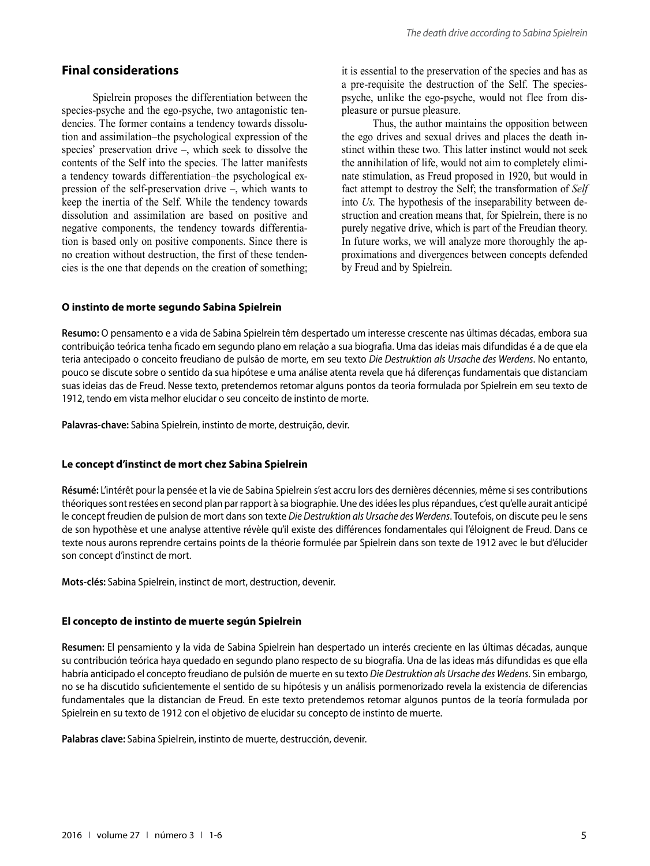### **Final considerations**

Spielrein proposes the differentiation between the species-psyche and the ego-psyche, two antagonistic ten dencies. The former contains a tendency towards dissolu tion and assimilation–the psychological expression of the species' preservation drive –, which seek to dissolve the contents of the Self into the species. The latter manifests a tendency towards differentiation–the psychological ex pression of the self-preservation drive –, which wants to keep the inertia of the Self. While the tendency towards dissolution and assimilation are based on positive and negative components, the tendency towards differentia tion is based only on positive components. Since there is no creation without destruction, the first of these tenden cies is the one that depends on the creation of something;

it is essential to the preservation of the species and has as a pre-requisite the destruction of the Self. The speciespsyche, unlike the ego-psyche, would not flee from dis pleasure or pursue pleasure.

Thus, the author maintains the opposition between the ego drives and sexual drives and places the death in stinct within these two. This latter instinct would not seek the annihilation of life, would not aim to completely elimi nate stimulation, as Freud proposed in 1920, but would in fact attempt to destroy the Self; the transformation of *Self* into *Us*. The hypothesis of the inseparability between de struction and creation means that, for Spielrein, there is no purely negative drive, which is part of the Freudian theory. In future works, we will analyze more thoroughly the ap proximations and divergences between concepts defended by Freud and by Spielrein.

#### **O instinto de morte segundo Sabina Spielrein**

**Resumo:** O pensamento e a vida de Sabina Spielrein têm despertado um interesse crescente nas últimas décadas, embora sua contribuição teórica tenha ficado em segundo plano em relação a sua biografia. Uma das ideias mais difundidas é a de que ela teria antecipado o conceito freudiano de pulsão de morte, em seu texto *Die Destruktion als Ursache des Werdens*. No entanto, pouco se discute sobre o sentido da sua hipótese e uma análise atenta revela que há diferenças fundamentais que distanciam suas ideias das de Freud. Nesse texto, pretendemos retomar alguns pontos da teoria formulada por Spielrein em seu texto de 1912, tendo em vista melhor elucidar o seu conceito de instinto de morte.

**Palavras-chave:** Sabina Spielrein, instinto de morte, destruição, devir.

### **Le concept d'instinct de mort chez Sabina Spielrein**

**Résumé:** L'intérêt pour la pensée et la vie de Sabina Spielrein s'est accru lors des dernières décennies, même si ses contributions théoriques sont restées en second plan par rapport à sa biographie. Une des idées les plus répandues, c'est qu'elle aurait anticipé le concept freudien de pulsion de mort dans son texte *Die Destruktion als Ursache des Werdens*. Toutefois, on discute peu le sens de son hypothèse et une analyse attentive révèle qu'il existe des différences fondamentales qui l'éloignent de Freud. Dans ce texte nous aurons reprendre certains points de la théorie formulée par Spielrein dans son texte de 1912 avec le but d'élucider son concept d'instinct de mort.

**Mots-clés:** Sabina Spielrein, instinct de mort, destruction, devenir.

### **El concepto de instinto de muerte según Spielrein**

**Resumen:** El pensamiento y la vida de Sabina Spielrein han despertado un interés creciente en las últimas décadas, aunque su contribución teórica haya quedado en segundo plano respecto de su biografía. Una de las ideas más difundidas es que ella habría anticipado el concepto freudiano de pulsión de muerte en su texto *Die Destruktion als Ursache des Wedens*. Sin embargo, no se ha discutido suficientemente el sentido de su hipótesis y un análisis pormenorizado revela la existencia de diferencias fundamentales que la distancian de Freud. En este texto pretendemos retomar algunos puntos de la teoría formulada por Spielrein en su texto de 1912 con el objetivo de elucidar su concepto de instinto de muerte.

**Palabras clave:** Sabina Spielrein, instinto de muerte, destrucción, devenir.